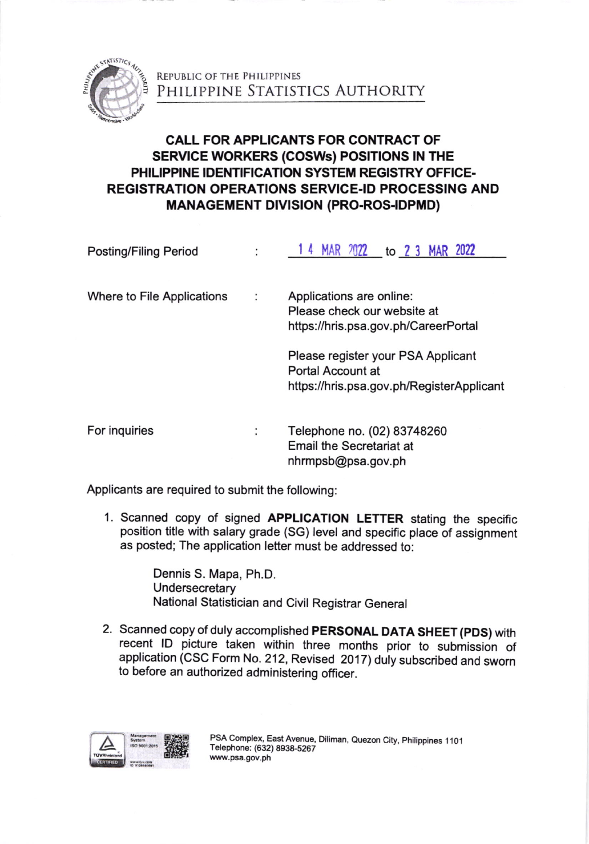

REPUBLIC OF THE PHILIPPINES Philippine Statistics Authority

## CALL FOR APPLICANTS FOR CONTRACT OF SERVICE WORKERS (COSWs) POSITIONS IN THE PHILIPPINE IDENTIFIGATION SYSTEM REGISTRY OFFIGE. REGISTRATION OPERATIONS SERVICE.ID PROCESSING AND **MANAGEMENT DIVISION (PRO-ROS-IDPMD)**

| <b>Posting/Filing Period</b> | MAR 2022 to 2 3 MAR 2022<br>14                                                                       |
|------------------------------|------------------------------------------------------------------------------------------------------|
| Where to File Applications   | Applications are online:<br>Please check our website at<br>https://hris.psa.gov.ph/CareerPortal      |
|                              | Please register your PSA Applicant<br>Portal Account at<br>https://hris.psa.gov.ph/RegisterApplicant |
| For inquiries                | Telephone no. (02) 83748260<br><b>Email the Secretariat at</b><br>nhrmpsb@psa.gov.ph                 |

Applicants are required to submit the following:

1. Scanned copy of signed APPLICATION LETTER stating the specific position title with salary grade (SG) level and specific place of assignment as posted; The application lefter must be addressed to:

> Dennis S. Mapa, Ph.D. **Undersecretary** National Statistician and Civil Registrar General

2. Scanned copy of duly accomplished PERSONAL DATA SHEET (pDS) with recent lD picture taken within three months prior to submission of application (CSC Form No. 212, Revised 2017) duly subscribed and sworn to before an authorized administering officer.

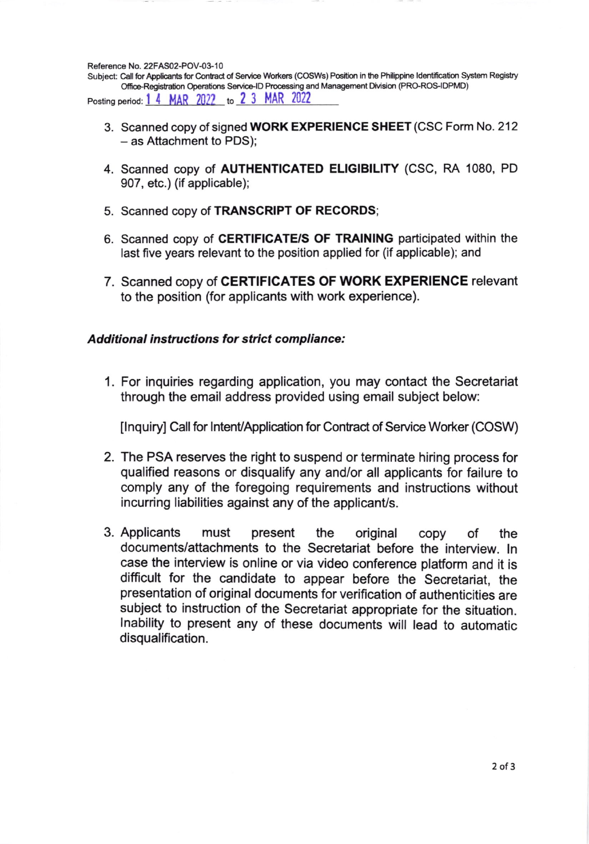Reference No. 22FAS02-POV-03-10

Subject: Call for Applicants for Contract of Service Workers (COSWs) Position in the Philippine Identification System Registry Office-Registration Operations Service-ID Processing and Management Division (PRO-ROS-IDPMD) Posting period: 1 4 MAR 2022 to 2 3 MAR 2022

- 3. Scanned copy of signed WORK EXPERIENCE SHEET (CSC Form No. 212 - as Attachment to PDS);
- 4. Scanned copy of **AUTHENTICATED ELIGIBILITY** (CSC, RA 1080, PD 907, etc.) (if applicable);
- 5. Scanned copy of TRANSCRIPT OF RECORDS;
- 6. Scanned copy of CERTIFICATE/S OF TRAINING participated within the last five years relevant to the position applied for (if applicable); and
- 7. Scanned copy of CERTIFICATES OF WORK EXPERIENCE relevant to the position (for applicants with work experience).

## **Additional instructions for strict compliance:**

1. For inquiries regarding application, you may contact the Secretariat through the email address provided using email subject below:

[Inquiry] Call for Intent/Application for Contract of Service Worker (COSW)

- 2. The PSA reserves the right to suspend or terminate hiring process for qualified reasons or disqualify any and/or all applicants for failure to comply any of the foregoing requirements and instructions without incurring liabilities against any of the applicant/s.
- 3. Applicants must present the original CODV the οf documents/attachments to the Secretariat before the interview. In case the interview is online or via video conference platform and it is difficult for the candidate to appear before the Secretariat, the presentation of original documents for verification of authenticities are subject to instruction of the Secretariat appropriate for the situation. Inability to present any of these documents will lead to automatic disqualification.